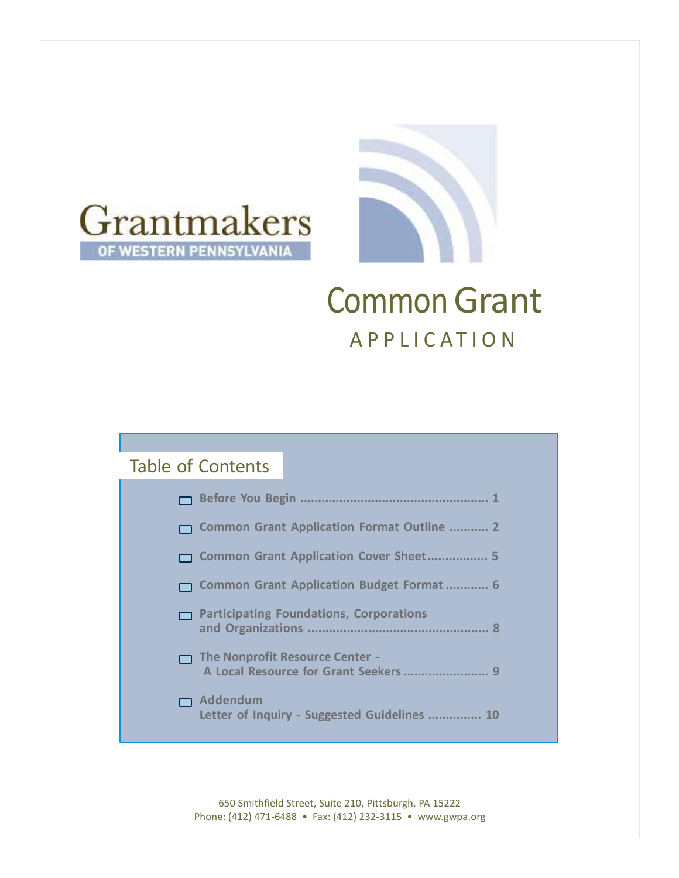



# **Common Grant APPLICATION**

### Table of Contents

| □ Common Grant Application Format Outline  2                                      |
|-----------------------------------------------------------------------------------|
| □ Common Grant Application Cover Sheet 5                                          |
| □ Common Grant Application Budget Format  6                                       |
| <b>Participating Foundations, Corporations</b><br>8                               |
| <b>The Nonprofit Resource Center -</b><br>A Local Resource for Grant Seekers<br>q |
| Addendum<br>Letter of Inquiry - Suggested Guidelines<br>10                        |

650 Smithfield Street, Suite 210, Pittsburgh, PA 15222 Phone: (412) 471-6488 • Fax: (412) 232-3115 • [www.gwpa.org](http://www.gwpa.org/)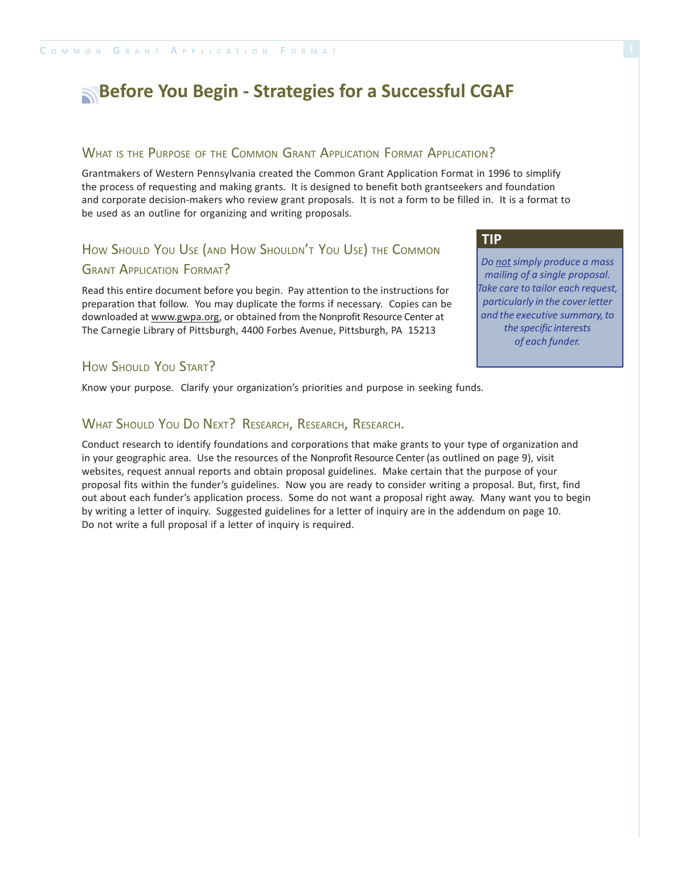### **Before You Begin - Strategies for a Successful CGAF**

#### WHAT IS THE PURPOSE OF THE COMMON GRANT APPLICATION FORMAT APPLICATION?

Grantmakers of Western Pennsylvania created the Common Grant Application Format in 1996 to simplify the process of requesting and making grants. It is designed to benefit both grantseekers and foundation and corporate decision-makers who review grant proposals. It is not a form to be filled in. It is a format to be used as an outline for organizing and writing proposals.

### How Should You Use (AND How Shouldn't You Use) The Common **GRANT APPLICATION FORMAT?**

Read this entire document before you begin. Pay attention to the instructions for preparation that follow. You may duplicate the forms if necessary. Copies can be downloaded at [www.gwpa.org,](http://www.gwpa.org/) or obtained from the Nonprofit Resource Center at The Carnegie Library of Pittsburgh, 4400 Forbes Avenue, Pittsburgh, PA 15213

#### HOW SHOULD YOU START?

Know your purpose. Clarify your organization's priorities and purpose in seeking funds.

#### WHAT SHOULD YOU DO NEXT? RESEARCH, RESEARCH, RESEARCH.

Conduct research to identify foundations and corporations that make grants to your type of organization and in your geographic area. Use the resources of the Nonprofit Resource Center (as outlined on page 9), visit websites, request annual reports and obtain proposal guidelines. Make certain that the purpose of your proposal fits within the funder's guidelines. Now you are ready to consider writing a proposal. But, first, find out about each funder's application process. Some do not want a proposal right away. Many want you to begin by writing a letter of inquiry. Suggested guidelines for a letter of inquiry are in the addendum on page 10. Do not write a full proposal if a letter of inquiry is required.

*Do not simply produce a mass mailing of a single proposal. Take care to tailor each request, particularly in the coverletter and the executive summary,to the specific interests of each funder.*

**TIP**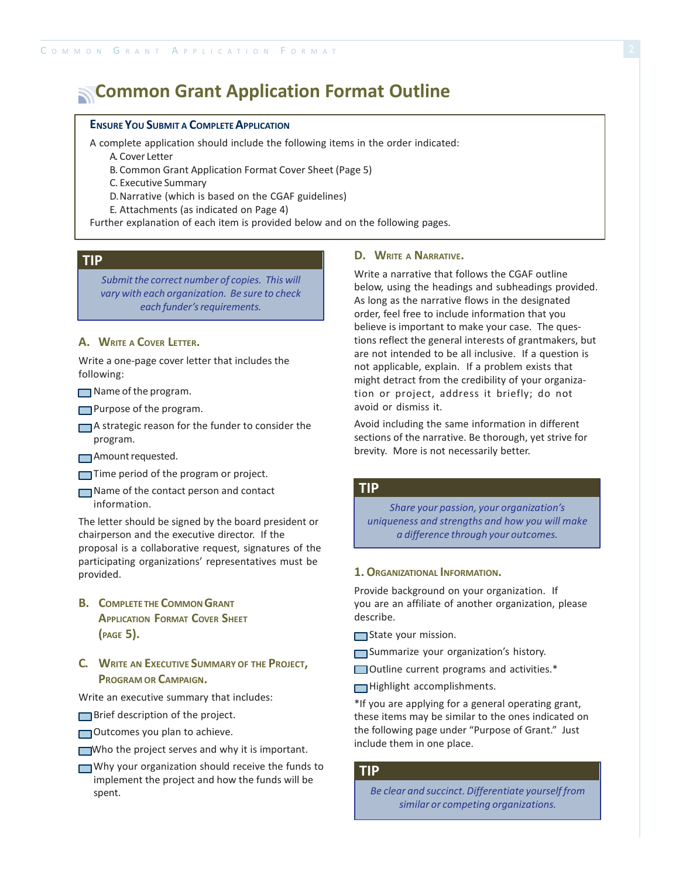### **Common Grant Application Format Outline**

#### **ENSURE YOU SUBMIT A COMPLETE APPLICATION**

A complete application should include the following items in the order indicated:

A. Cover Letter

B. Common Grant Application Format Cover Sheet (Page 5)

C. Executive Summary

D.Narrative (which is based on the CGAF guidelines)

E. Attachments (as indicated on Page 4)

Further explanation of each item is provided below and on the following pages.

#### **TIP**

*Submitthe correct number of copies. This will vary with each organization. Be sure to check each funder's requirements.* 

#### **A. WRITE <sup>A</sup> COVER LETTER.**

Write a one-page cover letter that includes the following:

 $\Box$  Name of the program.

**Purpose of the program.** 

A strategic reason for the funder to consider the program.

Amount requested.

Time period of the program or project.

Name of the contact person and contact information.

The letter should be signed by the board president or chairperson and the executive director. If the proposal is a collaborative request, signatures of the participating organizations' representatives must be provided.

- **B. COMPLETE THE COMMONGRANT APPLICATION FORMAT COVER SHEET (PAGE 5).**
- **C. WRITE AN EXECUTIVE SUMMARY OF THE PROJECT, PROGRAM OR CAMPAIGN.**

Write an executive summary that includes:

Brief description of the project.

Outcomes you plan to achieve.

- Who the project serves and why it is important.
- Why your organization should receive the funds to implement the project and how the funds will be spent.

#### **D. WRITE <sup>A</sup> NARRATIVE.**

Write a narrative that follows the CGAF outline below, using the headings and subheadings provided. As long as the narrative flows in the designated order, feel free to include information that you believe is important to make your case. The questions reflect the general interests of grantmakers, but are not intended to be all inclusive. If a question is not applicable, explain. If a problem exists that might detract from the credibility of your organization or project, address it briefly; do not avoid or dismiss it.

Avoid including the same information in different sections of the narrative. Be thorough, yet strive for brevity. More is not necessarily better.

#### **TIP**

*Share your passion, your organization's uniqueness and strengths and how you will make a difference through your outcomes.*

#### **1.ORGANIZATIONAL INFORMATION.**

Provide background on your organization. If you are an affiliate of another organization, please describe.

State your mission.

Summarize your organization's history.

- Outline current programs and activities.\*
- Highlight accomplishments.

\*If you are applying for a general operating grant, these items may be similar to the ones indicated on the following page under "Purpose of Grant." Just include them in one place.

#### **TIP**

*Be clear and succinct. Differentiate yourself from similar or competing organizations.*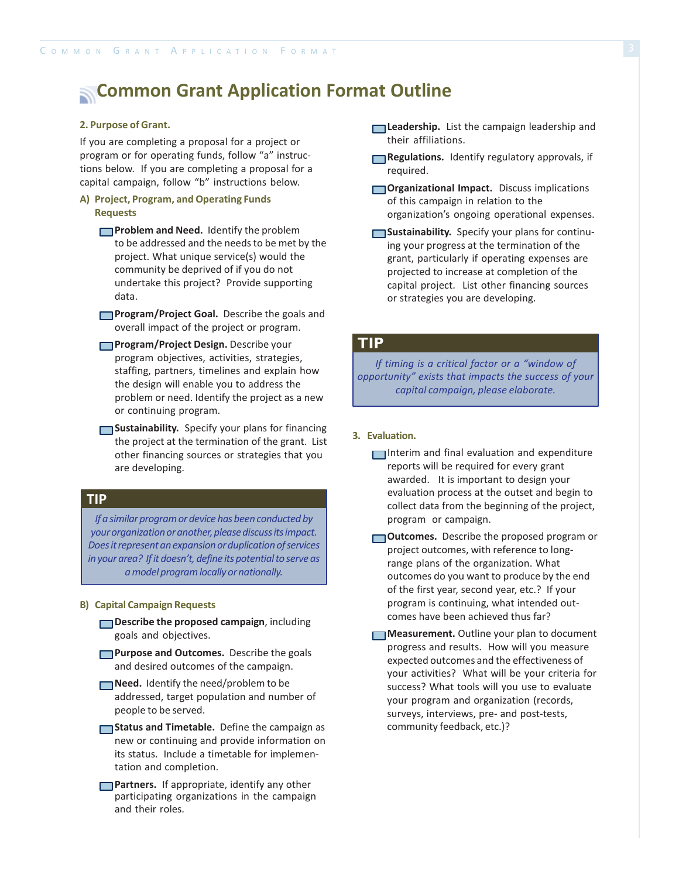### **Common Grant Application Format Outline**

#### **2. Purpose of Grant.**

If you are completing a proposal for a project or program or for operating funds, follow "a" instructions below. If you are completing a proposal for a capital campaign, follow "b" instructions below.

#### **A) Project, Program, and Operating Funds Requests**

- **Problem and Need.** Identify the problem to be addressed and the needs to be met by the project. What unique service(s) would the community be deprived of if you do not undertake this project? Provide supporting data.
- **Program/Project Goal.** Describe the goals and overall impact of the project or program.
- **Program/Project Design.** Describe your **TIP** program objectives, activities, strategies, staffing, partners, timelines and explain how the design will enable you to address the problem or need. Identify the project as a new or continuing program.
- **Sustainability.** Specify your plans for financing the project at the termination of the grant. List other financing sources or strategies that you are developing.

#### **TIP**

*If* a similar program or device has been conducted by *your organization or another, please discuss its impact. Doesitrepresentanexpansionorduplicationofservices in yourarea? Ifit doesn't, define its potentialto serve as amodel programlocally ornationally.*

#### **B) Capital Campaign Requests**

- **Describe the proposed campaign**, including goals and objectives.
- **Purpose and Outcomes.** Describe the goals and desired outcomes of the campaign.
- **Need.** Identify the need/problem to be addressed, target population and number of people to be served.
- **Status and Timetable.** Define the campaign as new or continuing and provide information on its status. Include a timetable for implementation and completion.
- **Partners.** If appropriate, identify any other participating organizations in the campaign and their roles.
- **Leadership.** List the campaign leadership and their affiliations.
- **Regulations.** Identify regulatory approvals, if required.
- **Organizational Impact.** Discuss implications of this campaign in relation to the organization's ongoing operational expenses.
- **Sustainability.** Specify your plans for continuing your progress at the termination of the grant, particularly if operating expenses are projected to increase at completion of the capital project. List other financing sources or strategies you are developing.

*If timing is a critical factor or a "window of opportunity" exists that impacts the success of your capital campaign, please elaborate.*

#### **3. Evaluation.**

- Interim and final evaluation and expenditure reports will be required for every grant awarded. It is important to design your evaluation process at the outset and begin to collect data from the beginning of the project, program or campaign.
- **Outcomes.** Describe the proposed program or project outcomes, with reference to longrange plans of the organization. What outcomes do you want to produce by the end of the first year, second year, etc.? If your program is continuing, what intended outcomes have been achieved thus far?
- **Measurement.** Outline your plan to document progress and results. How will you measure expected outcomes and the effectiveness of your activities? What will be your criteria for success? What tools will you use to evaluate your program and organization (records, surveys, interviews, pre- and post-tests, community feedback, etc.)?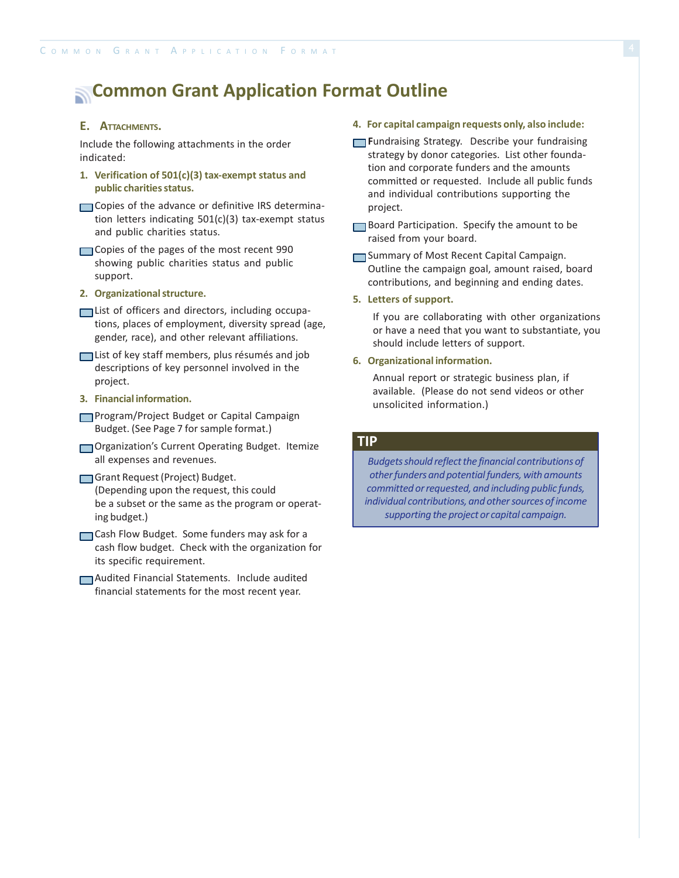### **Common Grant Application Format Outline**

#### **E. ATTACHMENTS.**

Include the following attachments in the order indicated:

- **1. Verification of 501(c)(3) tax-exempt status and public charitiesstatus.**
- Copies of the advance or definitive IRS determination letters indicating 501(c)(3) tax-exempt status and public charities status.
- Copies of the pages of the most recent 990 showing public charities status and public support.
- **2. Organizationalstructure.**
- List of officers and directors, including occupations, places of employment, diversity spread (age, gender, race), and other relevant affiliations.
- List of key staff members, plus résumés and job descriptions of key personnel involved in the project.
- **3. Financial information.**
- Program/Project Budget or Capital Campaign Budget. (See Page 7 for sample format.)
- Organization's Current Operating Budget. Itemize all expenses and revenues.
- Grant Request (Project) Budget. (Depending upon the request, this could be a subset or the same as the program or operating budget.)
- Cash Flow Budget. Some funders may ask for a cash flow budget. Check with the organization for its specific requirement.
- Audited Financial Statements. Include audited financial statements for the most recent year.

#### **4. For capital campaign requests only, also include:**

- **Fundraising Strategy.** Describe your fundraising strategy by donor categories. List other foundation and corporate funders and the amounts committed or requested. Include all public funds and individual contributions supporting the project.
- Board Participation. Specify the amount to be raised from your board.
- Summary of Most Recent Capital Campaign. Outline the campaign goal, amount raised, board contributions, and beginning and ending dates.
- **5. Letters of support.**

If you are collaborating with other organizations or have a need that you want to substantiate, you should include letters of support.

#### **6. Organizational information.**

Annual report or strategic business plan, if available. (Please do not send videos or other unsolicited information.)

#### **TIP**

*Budgetsshould reflectthe financial contributions of otherfunders and potentialfunders, with amounts committed orrequested, and including public funds, individual contributions, and othersources ofincome supporting the project or capital campaign.*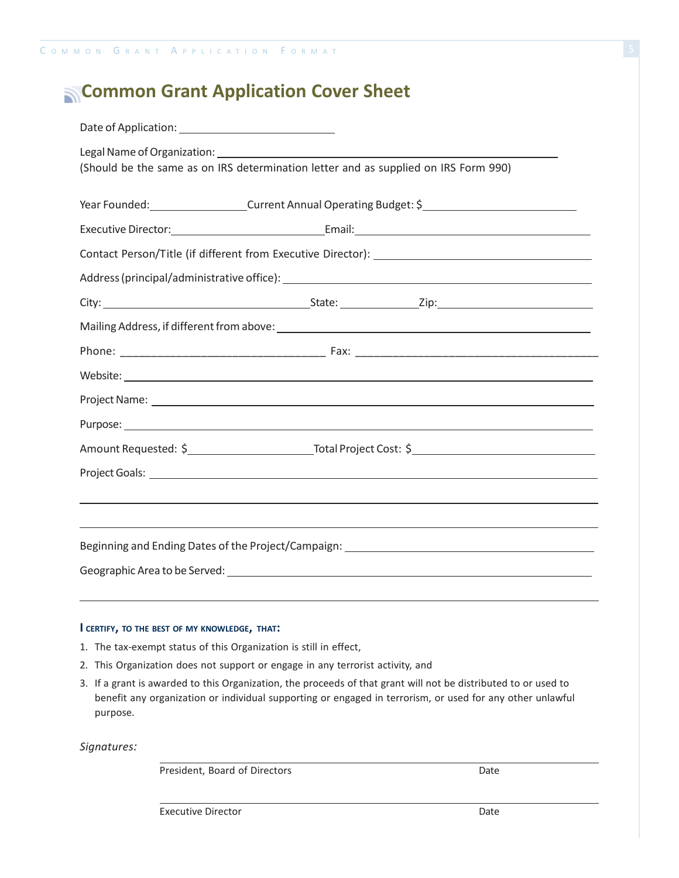### **Common Grant Application Cover Sheet**

| (Should be the same as on IRS determination letter and as supplied on IRS Form 990)                                                                                                                                           |  |  |  |  |
|-------------------------------------------------------------------------------------------------------------------------------------------------------------------------------------------------------------------------------|--|--|--|--|
| Year Founded: Current Annual Operating Budget: \$                                                                                                                                                                             |  |  |  |  |
|                                                                                                                                                                                                                               |  |  |  |  |
|                                                                                                                                                                                                                               |  |  |  |  |
|                                                                                                                                                                                                                               |  |  |  |  |
|                                                                                                                                                                                                                               |  |  |  |  |
|                                                                                                                                                                                                                               |  |  |  |  |
|                                                                                                                                                                                                                               |  |  |  |  |
| Website: New York Changes and Changes and Changes and Changes and Changes and Changes and Changes and Changes and Changes and Changes and Changes and Changes and Changes and Changes and Changes and Changes and Changes and |  |  |  |  |
|                                                                                                                                                                                                                               |  |  |  |  |
| Purpose: experience and a series of the series of the series of the series of the series of the series of the series of the series of the series of the series of the series of the series of the series of the series of the |  |  |  |  |
|                                                                                                                                                                                                                               |  |  |  |  |
|                                                                                                                                                                                                                               |  |  |  |  |
| ,我们也不会有什么。""我们的人,我们也不会有什么?""我们的人,我们也不会有什么?""我们的人,我们也不会有什么?""我们的人,我们也不会有什么?""我们的人                                                                                                                                              |  |  |  |  |
| ,我们也不会有什么。""我们的人,我们也不会有什么?""我们的人,我们也不会有什么?""我们的人,我们也不会有什么?""我们的人,我们也不会有什么?""我们的人                                                                                                                                              |  |  |  |  |
| Beginning and Ending Dates of the Project/Campaign: _____________________________                                                                                                                                             |  |  |  |  |
|                                                                                                                                                                                                                               |  |  |  |  |

#### **I CERTIFY, TO THE BEST OF MY KNOWLEDGE, THAT:**

- 1. The tax-exempt status of this Organization is still in effect,
- 2. This Organization does not support or engage in any terrorist activity, and
- 3. If a grant is awarded to this Organization, the proceeds of that grant will not be distributed to or used to benefit any organization or individual supporting or engaged in terrorism, or used for any other unlawful purpose.

*Signatures:*

President, Board of Directors Date

Executive Director **Date**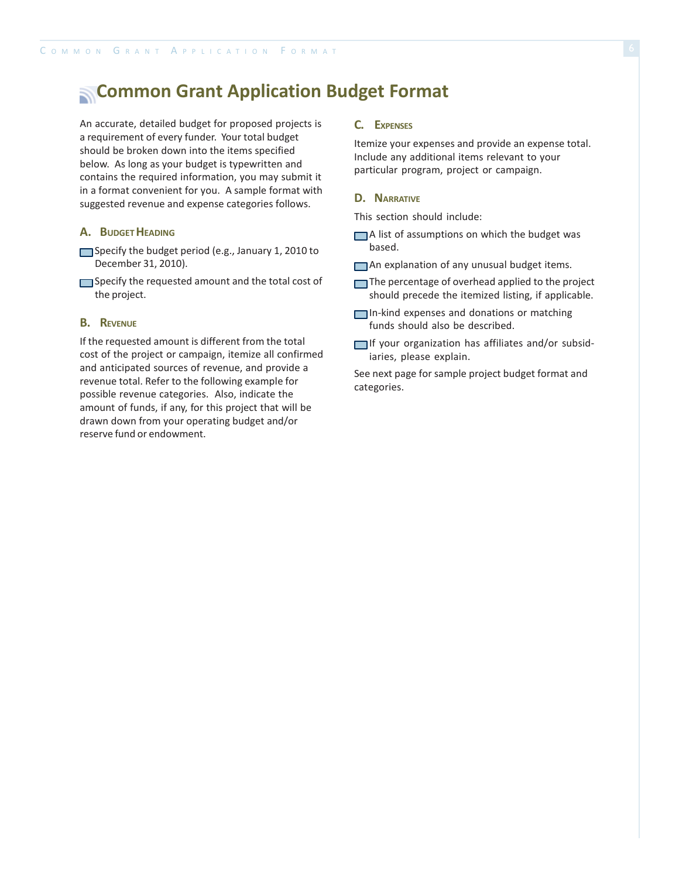### **Common Grant Application Budget Format**

An accurate, detailed budget for proposed projects is a requirement of every funder. Your total budget should be broken down into the items specified below. As long as your budget is typewritten and contains the required information, you may submit it in a format convenient for you. A sample format with suggested revenue and expense categories follows.

#### **A. BUDGET HEADING**

- Specify the budget period (e.g., January 1, 2010 to December 31, 2010).
- Specify the requested amount and the total cost of the project.

#### **B. REVENUE**

If the requested amount is different from the total cost of the project or campaign, itemize all confirmed and anticipated sources of revenue, and provide a revenue total. Refer to the following example for possible revenue categories. Also, indicate the amount of funds, if any, for this project that will be drawn down from your operating budget and/or reserve fund or endowment.

#### **C. EXPENSES**

Itemize your expenses and provide an expense total. Include any additional items relevant to your particular program, project or campaign.

#### **D. NARRATIVE**

This section should include:

- A list of assumptions on which the budget was based.
- An explanation of any unusual budget items.
- The percentage of overhead applied to the project should precede the itemized listing, if applicable.
- In-kind expenses and donations or matching funds should also be described.
- $\Box$ If your organization has affiliates and/or subsidiaries, please explain.

See next page for sample project budget format and categories.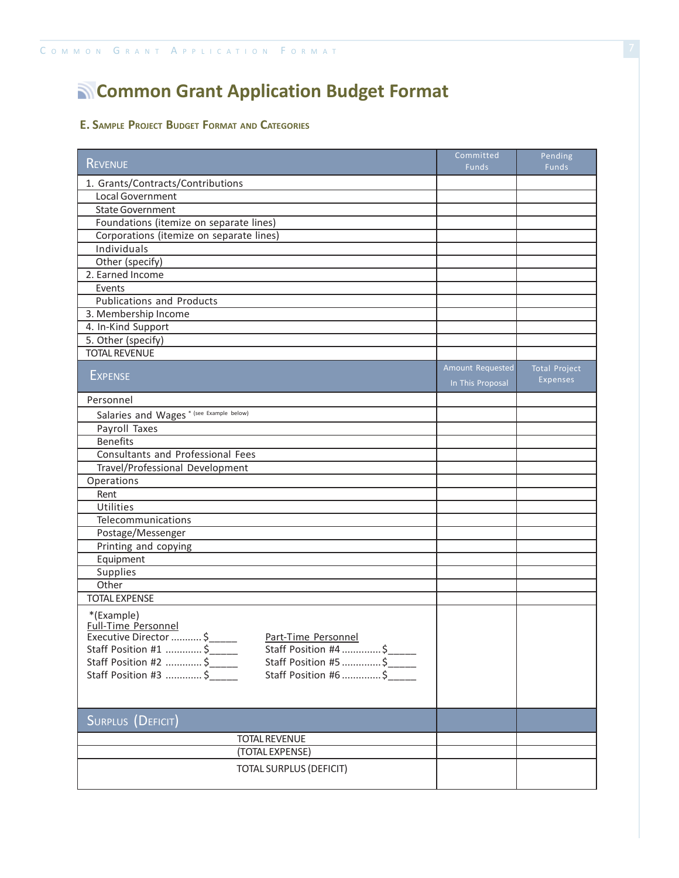## **Common Grant Application Budget Format**

#### **E. SAMPLE PROJECT BUDGET FORMAT AND CATEGORIES**

| <b>REVENUE</b>                                                        | Committed<br><b>Funds</b> | Pending<br>Funds     |
|-----------------------------------------------------------------------|---------------------------|----------------------|
| 1. Grants/Contracts/Contributions                                     |                           |                      |
| Local Government                                                      |                           |                      |
| <b>State Government</b>                                               |                           |                      |
| Foundations (itemize on separate lines)                               |                           |                      |
| Corporations (itemize on separate lines)                              |                           |                      |
| Individuals                                                           |                           |                      |
| Other (specify)                                                       |                           |                      |
| 2. Earned Income                                                      |                           |                      |
| Events                                                                |                           |                      |
| <b>Publications and Products</b>                                      |                           |                      |
| 3. Membership Income                                                  |                           |                      |
| 4. In-Kind Support                                                    |                           |                      |
| 5. Other (specify)                                                    |                           |                      |
| <b>TOTAL REVENUE</b>                                                  |                           |                      |
|                                                                       | Amount Requested          | <b>Total Project</b> |
| <b>EXPENSE</b>                                                        | In This Proposal          | Expenses             |
| Personnel                                                             |                           |                      |
| Salaries and Wages <sup>*</sup> (see Example below)                   |                           |                      |
| Payroll Taxes                                                         |                           |                      |
| <b>Benefits</b>                                                       |                           |                      |
| Consultants and Professional Fees                                     |                           |                      |
| Travel/Professional Development                                       |                           |                      |
| Operations                                                            |                           |                      |
| Rent                                                                  |                           |                      |
| Utilities                                                             |                           |                      |
| Telecommunications                                                    |                           |                      |
| Postage/Messenger                                                     |                           |                      |
| Printing and copying                                                  |                           |                      |
| Equipment                                                             |                           |                      |
| Supplies                                                              |                           |                      |
| Other                                                                 |                           |                      |
| <b>TOTAL EXPENSE</b>                                                  |                           |                      |
| *(Example)<br>Full-Time Personnel<br>Executive Director  \$           |                           |                      |
| Part-Time Personnel<br>Staff Position #1  \$<br>Staff Position #4  \$ |                           |                      |
| Staff Position #2  \$<br>Staff Position #5 \$                         |                           |                      |
| Staff Position #3  \$<br>Staff Position #6  \$                        |                           |                      |
|                                                                       |                           |                      |
| SURPLUS (DEFICIT)                                                     |                           |                      |
|                                                                       |                           |                      |
| <b>TOTAL REVENUE</b>                                                  |                           |                      |
| (TOTAL EXPENSE)                                                       |                           |                      |
| <b>TOTAL SURPLUS (DEFICIT)</b>                                        |                           |                      |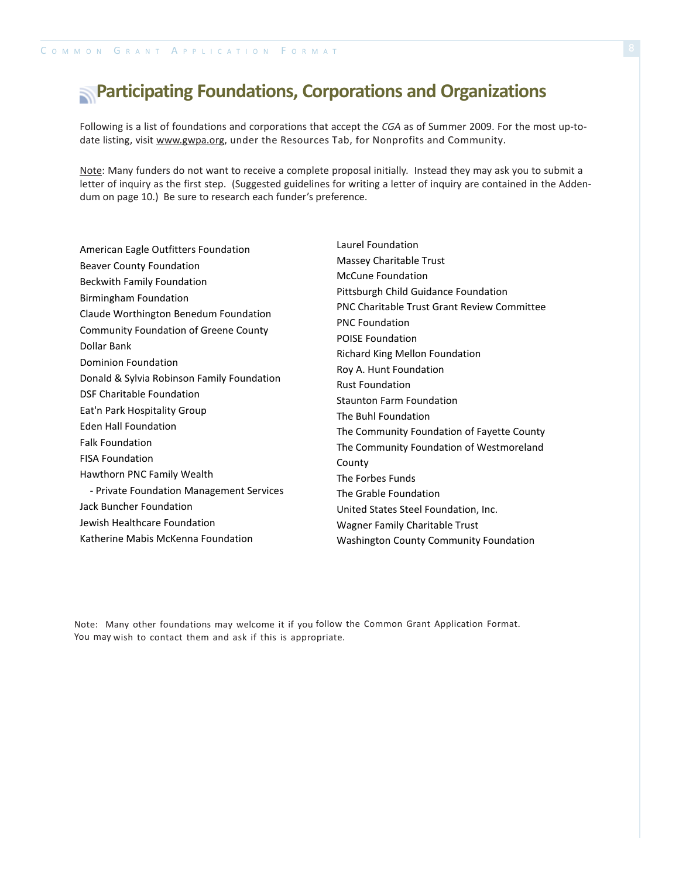### **Participating Foundations, Corporations and Organizations**

Following is a list of foundations and corporations that accept the *CGA* as of Summer 2009. For the most up-todate listing, visit [www.gwpa.org,](http://www.gwpa.org/) under the Resources Tab, for Nonprofits and Community.

Note: Many funders do not want to receive a complete proposal initially. Instead they may ask you to submit a letter of inquiry as the first step. (Suggested guidelines for writing a letter of inquiry are contained in the Addendum on page 10.) Be sure to research each funder's preference.

American Eagle Outfitters Foundation Beaver County Foundation Beckwith Family Foundation Birmingham Foundation Claude Worthington Benedum Foundation Community Foundation of Greene County Dollar Bank Dominion Foundation Donald & Sylvia Robinson Family Foundation DSF Charitable Foundation Eat'n Park Hospitality Group Eden Hall Foundation Falk Foundation FISA Foundation Hawthorn PNC Family Wealth - Private Foundation Management Services Jack Buncher Foundation Jewish Healthcare Foundation Katherine Mabis McKenna Foundation

Laurel Foundation Massey Charitable Trust McCune Foundation Pittsburgh Child Guidance Foundation PNC Charitable Trust Grant Review Committee PNC Foundation POISE Foundation Richard King Mellon Foundation Roy A. Hunt Foundation Rust Foundation Staunton Farm Foundation The Buhl Foundation The Community Foundation of Fayette County The Community Foundation of Westmoreland County The Forbes Funds The Grable Foundation United States Steel Foundation, Inc. Wagner Family Charitable Trust Washington County Community Foundation

Note: Many other foundations may welcome it if you follow the Common Grant Application Format. You may wish to contact them and ask if this is appropriate.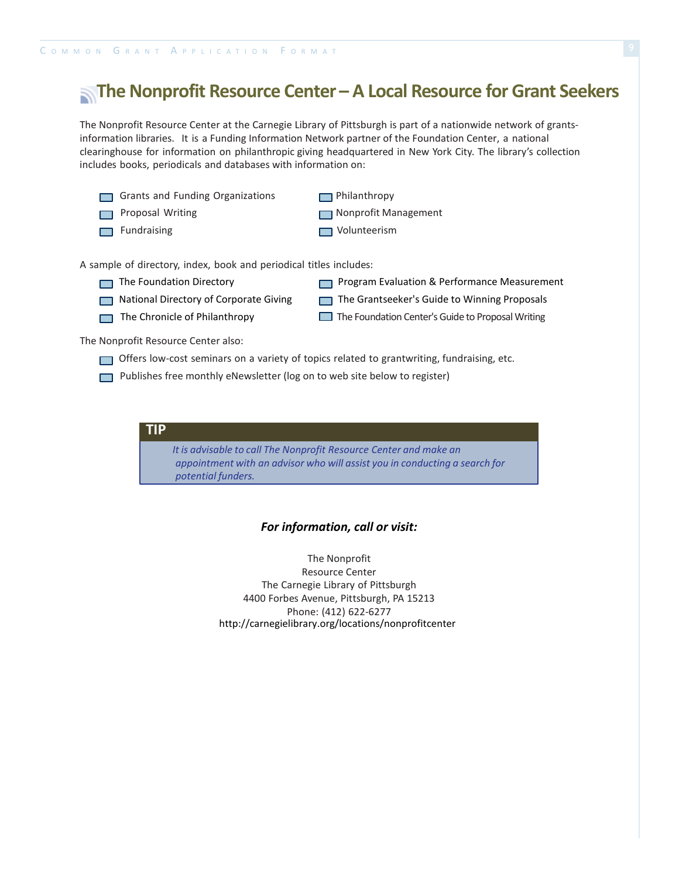### **The Nonprofit Resource Center – A Local Resource for Grant Seekers**

The Nonprofit Resource Center at the Carnegie Library of Pittsburgh is part of a nationwide network of grantsinformation libraries. It is a Funding Information Network partner of the Foundation Center, a national clearinghouse for information on philanthropic giving headquartered in New York City. The library's collection includes books, periodicals and databases with information on:

- Grants and Funding Organizations **Philanthropy**
- 
- 

**Proposal Writing Communist Communist Proposal Writing Communist Proposal Writing** 

Fundraising **Fundraising** Volunteerism

A sample of directory, index, book and periodical titles includes:

- 
- National Directory of Corporate Giving The Grantseeker's Guide to Winning Proposals
- The Foundation Directory **Program Evaluation & Performance Measurement** 
	-
	-
- 
- The Chronicle of Philanthropy The Foundation Center's Guide to Proposal Writing

The Nonprofit Resource Center also:

- Offers low-cost seminars on a variety of topics related to grantwriting, fundraising, etc.
- Publishes free monthly eNewsletter (log on to web site below to register)

**TIP**

*It is advisable to call The Nonprofit Resource Center and make an appointment with an advisor who will assist you in conducting a search for potential funders.*

#### *For information, call or visit:*

The Nonprofit Resource Center The Carnegie Library of Pittsburgh 4400 Forbes Avenue, Pittsburgh, PA 15213 Phone: (412) 622-6277 http://carnegielibrary.org/locations/nonprofitcenter